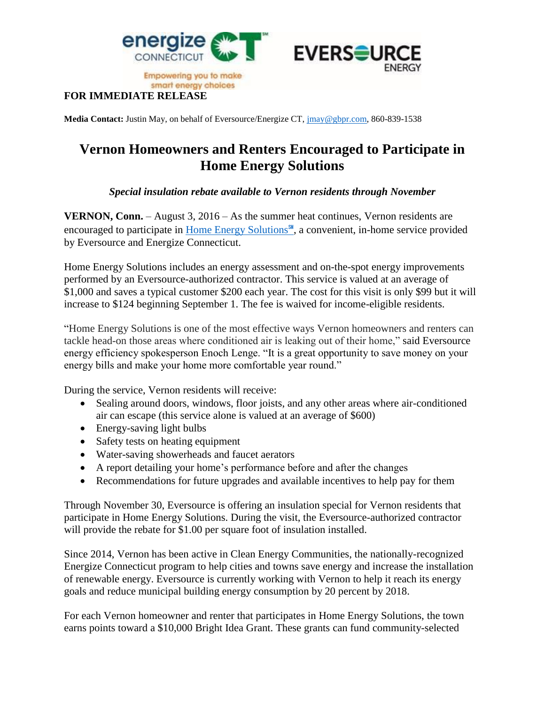



**Empowering you to make** smart energy choices

## **FOR IMMEDIATE RELEASE**

**Media Contact:** Justin May, on behalf of Eversource/Energize CT, [jmay@gbpr.com,](mailto:jmay@gbpr.com) 860-839-1538

## **Vernon Homeowners and Renters Encouraged to Participate in Home Energy Solutions**

## *Special insulation rebate available to Vernon residents through November*

**VERNON, Conn.** – August 3, 2016 – As the summer heat continues, Vernon residents are encouraged to participate in [Home Energy Solutions](http://www.energizect.com/your-home/solutions-list/home-energy-solutions-core-services)℠, a convenient, in-home service provided by Eversource and Energize Connecticut.

Home Energy Solutions includes an energy assessment and on-the-spot energy improvements performed by an Eversource-authorized contractor. This service is valued at an average of \$1,000 and saves a typical customer \$200 each year. The cost for this visit is only \$99 but it will increase to \$124 beginning September 1. The fee is waived for income-eligible residents.

"Home Energy Solutions is one of the most effective ways Vernon homeowners and renters can tackle head-on those areas where conditioned air is leaking out of their home," said Eversource energy efficiency spokesperson Enoch Lenge. "It is a great opportunity to save money on your energy bills and make your home more comfortable year round."

During the service, Vernon residents will receive:

- Sealing around doors, windows, floor joists, and any other areas where air-conditioned air can escape (this service alone is valued at an average of \$600)
- Energy-saving light bulbs
- Safety tests on heating equipment
- Water-saving showerheads and faucet aerators
- A report detailing your home's performance before and after the changes
- Recommendations for future upgrades and available incentives to help pay for them

Through November 30, Eversource is offering an insulation special for Vernon residents that participate in Home Energy Solutions. During the visit, the Eversource-authorized contractor will provide the rebate for \$1.00 per square foot of insulation installed.

Since 2014, Vernon has been active in Clean Energy Communities, the nationally-recognized Energize Connecticut program to help cities and towns save energy and increase the installation of renewable energy. Eversource is currently working with Vernon to help it reach its energy goals and reduce municipal building energy consumption by 20 percent by 2018.

For each Vernon homeowner and renter that participates in Home Energy Solutions, the town earns points toward a \$10,000 Bright Idea Grant. These grants can fund community-selected